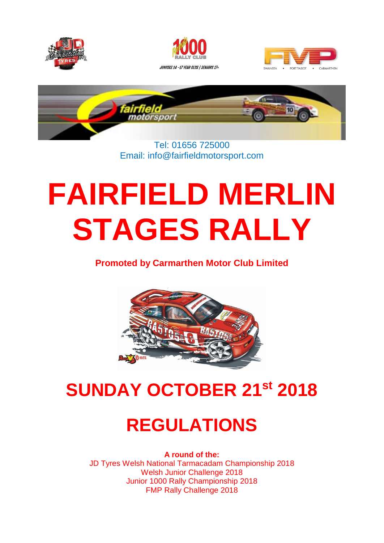





 $\overline{\phantom{a}}$ 



#### Tel: 01656 725000 Email: info@fairfieldmotorsport.com

# **FAIRFIELD MERLIN STAGES RALLY**

**Promoted by Carmarthen Motor Club Limited**



# **SUNDAY OCTOBER 21 st 2018**

# **REGULATIONS**

**A round of the:**  JD Tyres Welsh National Tarmacadam Championship 2018 Welsh Junior Challenge 2018 Junior 1000 Rally Championship 2018 FMP Rally Challenge 2018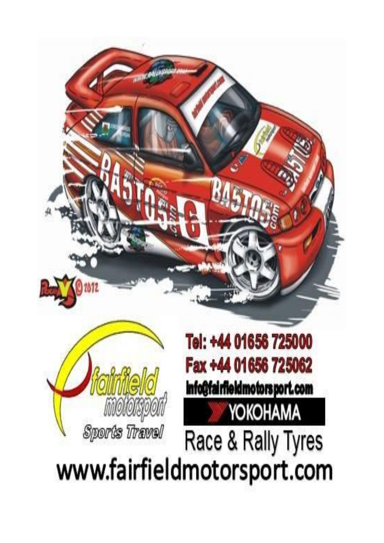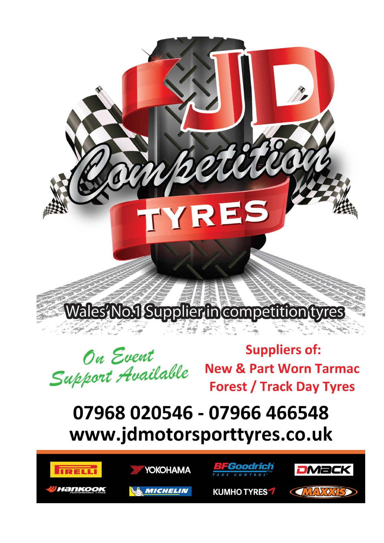Wales No.1 Supplier in competition tyres

TYRES

On Event Support Available

**Suppliers of: New & Part Worn Tarmac Forest / Track Day Tyres** 

 $v_{\ell}v_{\ell}$ 

### 07968 020546 - 07966 466548 www.jdmotorsporttyres.co.uk





**MICHELIN** 



**KUMHO TYRES 7** 

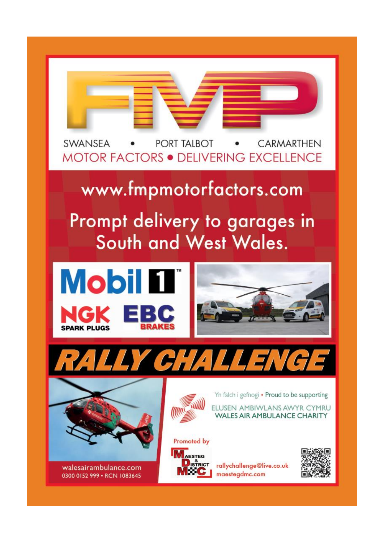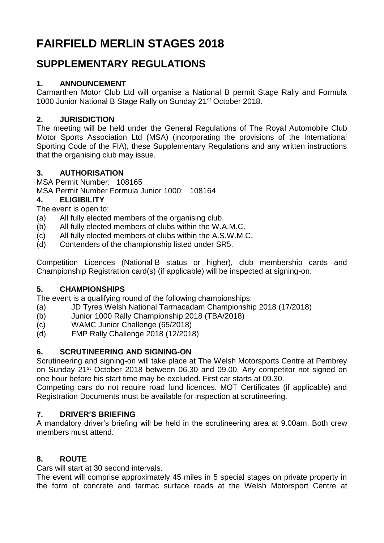### **FAIRFIELD MERLIN STAGES 2018**

### **SUPPLEMENTARY REGULATIONS**

#### **1. ANNOUNCEMENT**

Carmarthen Motor Club Ltd will organise a National B permit Stage Rally and Formula 1000 Junior National B Stage Rally on Sunday 21<sup>st</sup> October 2018.

#### **2. JURISDICTION**

The meeting will be held under the General Regulations of The Royal Automobile Club Motor Sports Association Ltd (MSA) (incorporating the provisions of the International Sporting Code of the FIA), these Supplementary Regulations and any written instructions that the organising club may issue.

#### **3. AUTHORISATION**

MSA Permit Number: 108165

MSA Permit Number Formula Junior 1000: 108164

#### **4. ELIGIBILITY**

The event is open to:

- (a) All fully elected members of the organising club.
- (b) All fully elected members of clubs within the W.A.M.C.
- (c) All fully elected members of clubs within the A.S.W.M.C.
- (d) Contenders of the championship listed under SR5.

Competition Licences (National B status or higher), club membership cards and Championship Registration card(s) (if applicable) will be inspected at signing-on.

#### **5. CHAMPIONSHIPS**

The event is a qualifying round of the following championships:

- (a) JD Tyres Welsh National Tarmacadam Championship 2018 (17/2018)
- (b) Junior 1000 Rally Championship 2018 (TBA/2018)
- (c) WAMC Junior Challenge (65/2018)
- (d) FMP Rally Challenge 2018 (12/2018)

#### **6. SCRUTINEERING AND SIGNING-ON**

Scrutineering and signing-on will take place at The Welsh Motorsports Centre at Pembrey on Sunday 21<sup>st</sup> October 2018 between 06.30 and 09.00. Any competitor not signed on one hour before his start time may be excluded. First car starts at 09.30.

Competing cars do not require road fund licences. MOT Certificates (if applicable) and Registration Documents must be available for inspection at scrutineering.

#### **7. DRIVER'S BRIEFING**

A mandatory driver's briefing will be held in the scrutineering area at 9.00am. Both crew members must attend.

#### **8. ROUTE**

Cars will start at 30 second intervals.

The event will comprise approximately 45 miles in 5 special stages on private property in the form of concrete and tarmac surface roads at the Welsh Motorsport Centre at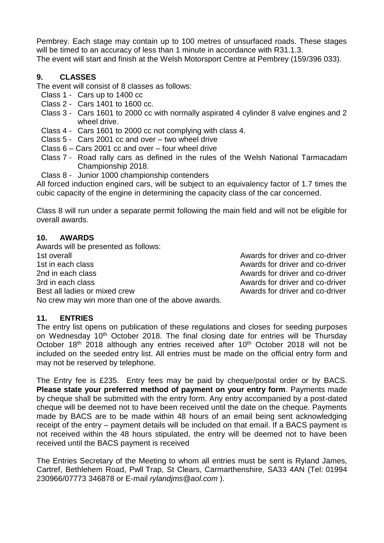Pembrey. Each stage may contain up to 100 metres of unsurfaced roads. These stages will be timed to an accuracy of less than 1 minute in accordance with R31.1.3. The event will start and finish at the Welsh Motorsport Centre at Pembrey (159/396 033).

#### **9. CLASSES**

The event will consist of 8 classes as follows:

- Class 1 Cars up to 1400 cc
- Class 2 Cars 1401 to 1600 cc.
- Class 3 Cars 1601 to 2000 cc with normally aspirated 4 cylinder 8 valve engines and 2 wheel drive.
- Class 4 Cars 1601 to 2000 cc not complying with class 4.
- Class 5 Cars 2001 cc and over two wheel drive
- Class 6 Cars 2001 cc and over four wheel drive
- Class 7 Road rally cars as defined in the rules of the Welsh National Tarmacadam Championship 2018.
- Class 8 Junior 1000 championship contenders

All forced induction engined cars, will be subject to an equivalency factor of 1.7 times the cubic capacity of the engine in determining the capacity class of the car concerned.

Class 8 will run under a separate permit following the main field and will not be eligible for overall awards.

#### **10. AWARDS**

Awards will be presented as follows: 1st overall Awards for driver and co-driver 1st in each class **Awards for driver and co-driver 1st in each class** Awards for driver and co-driver 2nd in each class **Awards for driver and co-driver** 2nd in each class 3rd in each class **Awards for driver and co-driver** Awards for driver and co-driver Best all ladies or mixed crew Awards for driver and co-driver No crew may win more than one of the above awards.

#### **11. ENTRIES**

The entry list opens on publication of these regulations and closes for seeding purposes on Wednesday 10<sup>th</sup> October 2018. The final closing date for entries will be Thursday October  $18<sup>th</sup>$  2018 although any entries received after  $10<sup>th</sup>$  October 2018 will not be included on the seeded entry list. All entries must be made on the official entry form and may not be reserved by telephone.

The Entry fee is £235. Entry fees may be paid by cheque/postal order or by BACS. **Please state your preferred method of payment on your entry form**. Payments made by cheque shall be submitted with the entry form. Any entry accompanied by a post-dated cheque will be deemed not to have been received until the date on the cheque. Payments made by BACS are to be made within 48 hours of an email being sent acknowledging receipt of the entry – payment details will be included on that email. If a BACS payment is not received within the 48 hours stipulated, the entry will be deemed not to have been received until the BACS payment is received

The Entries Secretary of the Meeting to whom all entries must be sent is Ryland James, Cartref, Bethlehem Road, Pwll Trap, St Clears, Carmarthenshire, SA33 4AN (Tel: 01994 230966/07773 346878 or E-mail *[rylandjms@aol.com](mailto:rylandjms@aol.com)* ).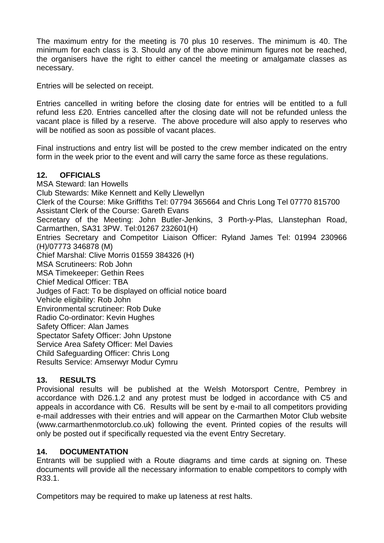The maximum entry for the meeting is 70 plus 10 reserves. The minimum is 40. The minimum for each class is 3. Should any of the above minimum figures not be reached, the organisers have the right to either cancel the meeting or amalgamate classes as necessary.

Entries will be selected on receipt.

Entries cancelled in writing before the closing date for entries will be entitled to a full refund less £20. Entries cancelled after the closing date will not be refunded unless the vacant place is filled by a reserve. The above procedure will also apply to reserves who will be notified as soon as possible of vacant places.

Final instructions and entry list will be posted to the crew member indicated on the entry form in the week prior to the event and will carry the same force as these regulations.

#### **12. OFFICIALS**

MSA Steward: Ian Howells Club Stewards: Mike Kennett and Kelly Llewellyn Clerk of the Course: Mike Griffiths Tel: 07794 365664 and Chris Long Tel 07770 815700 Assistant Clerk of the Course: Gareth Evans Secretary of the Meeting: John Butler-Jenkins, 3 Porth-y-Plas, Llanstephan Road, Carmarthen, SA31 3PW. Tel:01267 232601(H) Entries Secretary and Competitor Liaison Officer: Ryland James Tel: 01994 230966 (H)/07773 346878 (M) Chief Marshal: Clive Morris 01559 384326 (H) MSA Scrutineers: Rob John MSA Timekeeper: Gethin Rees Chief Medical Officer: TBA Judges of Fact: To be displayed on official notice board Vehicle eligibility: Rob John Environmental scrutineer: Rob Duke Radio Co-ordinator: Kevin Hughes Safety Officer: Alan James Spectator Safety Officer: John Upstone Service Area Safety Officer: Mel Davies Child Safeguarding Officer: Chris Long Results Service: Amserwyr Modur Cymru

#### **13. RESULTS**

Provisional results will be published at the Welsh Motorsport Centre, Pembrey in accordance with D26.1.2 and any protest must be lodged in accordance with C5 and appeals in accordance with C6. Results will be sent by e-mail to all competitors providing e-mail addresses with their entries and will appear on the Carmarthen Motor Club website (www.carmarthenmotorclub.co.uk) following the event. Printed copies of the results will only be posted out if specifically requested via the event Entry Secretary.

#### **14. DOCUMENTATION**

Entrants will be supplied with a Route diagrams and time cards at signing on. These documents will provide all the necessary information to enable competitors to comply with R33.1.

Competitors may be required to make up lateness at rest halts.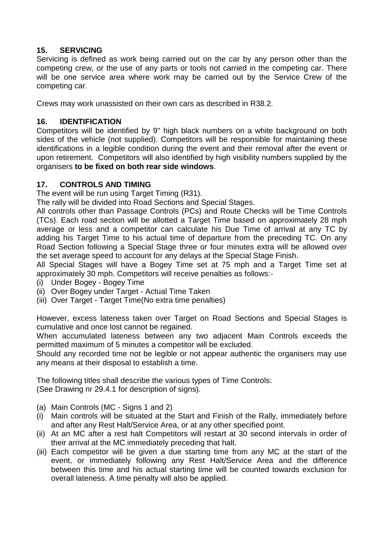#### **15. SERVICING**

Servicing is defined as work being carried out on the car by any person other than the competing crew, or the use of any parts or tools not carried in the competing car. There will be one service area where work may be carried out by the Service Crew of the competing car.

Crews may work unassisted on their own cars as described in R38.2.

#### **16. IDENTIFICATION**

Competitors will be identified by 9" high black numbers on a white background on both sides of the vehicle (not supplied). Competitors will be responsible for maintaining these identifications in a legible condition during the event and their removal after the event or upon retirement. Competitors will also identified by high visibility numbers supplied by the organisers **to be fixed on both rear side windows**.

#### **17. CONTROLS AND TIMING**

The event will be run using Target Timing (R31).

The rally will be divided into Road Sections and Special Stages.

All controls other than Passage Controls (PCs) and Route Checks will be Time Controls (TCs). Each road section will be allotted a Target Time based on approximately 28 mph average or less and a competitor can calculate his Due Time of arrival at any TC by adding his Target Time to his actual time of departure from the preceding TC. On any Road Section following a Special Stage three or four minutes extra will be allowed over the set average speed to account for any delays at the Special Stage Finish.

All Special Stages will have a Bogey Time set at 75 mph and a Target Time set at approximately 30 mph. Competitors will receive penalties as follows:-

- (i) Under Bogey Bogey Time
- (ii) Over Bogey under Target Actual Time Taken
- (iii) Over Target Target Time(No extra time penalties)

However, excess lateness taken over Target on Road Sections and Special Stages is cumulative and once lost cannot be regained.

When accumulated lateness between any two adjacent Main Controls exceeds the permitted maximum of 5 minutes a competitor will be excluded.

Should any recorded time not be legible or not appear authentic the organisers may use any means at their disposal to establish a time.

The following titles shall describe the various types of Time Controls: (See Drawing nr 29.4.1 for description of signs).

- (a) Main Controls (MC Signs 1 and 2)
- (i) Main controls will be situated at the Start and Finish of the Rally, immediately before and after any Rest Halt/Service Area, or at any other specified point.
- (ii) At an MC after a rest halt Competitors will restart at 30 second intervals in order of their arrival at the MC immediately preceding that halt.
- (iii) Each competitor will be given a due starting time from any MC at the start of the event, or immediately following any Rest Halt/Service Area and the difference between this time and his actual starting time will be counted towards exclusion for overall lateness. A time penalty will also be applied.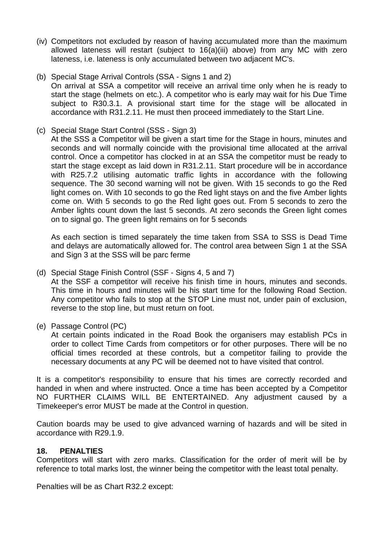- (iv) Competitors not excluded by reason of having accumulated more than the maximum allowed lateness will restart (subject to 16(a)(iii) above) from any MC with zero lateness, i.e. lateness is only accumulated between two adjacent MC's.
- (b) Special Stage Arrival Controls (SSA Signs 1 and 2) On arrival at SSA a competitor will receive an arrival time only when he is ready to start the stage (helmets on etc.). A competitor who is early may wait for his Due Time subject to R30.3.1. A provisional start time for the stage will be allocated in accordance with R31.2.11. He must then proceed immediately to the Start Line.
- (c) Special Stage Start Control (SSS Sign 3)

At the SSS a Competitor will be given a start time for the Stage in hours, minutes and seconds and will normally coincide with the provisional time allocated at the arrival control. Once a competitor has clocked in at an SSA the competitor must be ready to start the stage except as laid down in R31.2.11. Start procedure will be in accordance with R25.7.2 utilising automatic traffic lights in accordance with the following sequence. The 30 second warning will not be given. With 15 seconds to go the Red light comes on. With 10 seconds to go the Red light stays on and the five Amber lights come on. With 5 seconds to go the Red light goes out. From 5 seconds to zero the Amber lights count down the last 5 seconds. At zero seconds the Green light comes on to signal go. The green light remains on for 5 seconds

As each section is timed separately the time taken from SSA to SSS is Dead Time and delays are automatically allowed for. The control area between Sign 1 at the SSA and Sign 3 at the SSS will be parc ferme

- (d) Special Stage Finish Control (SSF Signs 4, 5 and 7) At the SSF a competitor will receive his finish time in hours, minutes and seconds. This time in hours and minutes will be his start time for the following Road Section. Any competitor who fails to stop at the STOP Line must not, under pain of exclusion, reverse to the stop line, but must return on foot.
- (e) Passage Control (PC)

At certain points indicated in the Road Book the organisers may establish PCs in order to collect Time Cards from competitors or for other purposes. There will be no official times recorded at these controls, but a competitor failing to provide the necessary documents at any PC will be deemed not to have visited that control.

It is a competitor's responsibility to ensure that his times are correctly recorded and handed in when and where instructed. Once a time has been accepted by a Competitor NO FURTHER CLAIMS WILL BE ENTERTAINED. Any adjustment caused by a Timekeeper's error MUST be made at the Control in question.

Caution boards may be used to give advanced warning of hazards and will be sited in accordance with R29.1.9.

#### **18. PENALTIES**

Competitors will start with zero marks. Classification for the order of merit will be by reference to total marks lost, the winner being the competitor with the least total penalty.

Penalties will be as Chart R32.2 except: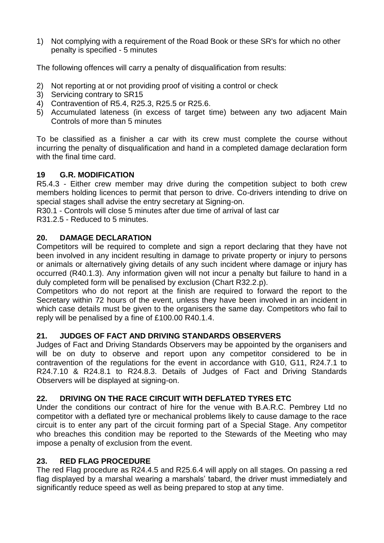1) Not complying with a requirement of the Road Book or these SR's for which no other penalty is specified - 5 minutes

The following offences will carry a penalty of disqualification from results:

- 2) Not reporting at or not providing proof of visiting a control or check
- 3) Servicing contrary to SR15
- 4) Contravention of R5.4, R25.3, R25.5 or R25.6.
- 5) Accumulated lateness (in excess of target time) between any two adjacent Main Controls of more than 5 minutes

To be classified as a finisher a car with its crew must complete the course without incurring the penalty of disqualification and hand in a completed damage declaration form with the final time card.

#### **19 G.R. MODIFICATION**

R5.4.3 - Either crew member may drive during the competition subject to both crew members holding licences to permit that person to drive. Co-drivers intending to drive on special stages shall advise the entry secretary at Signing-on.

R30.1 - Controls will close 5 minutes after due time of arrival of last car

R31.2.5 - Reduced to 5 minutes.

#### **20. DAMAGE DECLARATION**

Competitors will be required to complete and sign a report declaring that they have not been involved in any incident resulting in damage to private property or injury to persons or animals or alternatively giving details of any such incident where damage or injury has occurred (R40.1.3). Any information given will not incur a penalty but failure to hand in a duly completed form will be penalised by exclusion (Chart R32.2.p).

Competitors who do not report at the finish are required to forward the report to the Secretary within 72 hours of the event, unless they have been involved in an incident in which case details must be given to the organisers the same day. Competitors who fail to reply will be penalised by a fine of £100.00 R40.1.4.

#### **21. JUDGES OF FACT AND DRIVING STANDARDS OBSERVERS**

Judges of Fact and Driving Standards Observers may be appointed by the organisers and will be on duty to observe and report upon any competitor considered to be in contravention of the regulations for the event in accordance with G10, G11, R24.7.1 to R24.7.10 & R24.8.1 to R24.8.3. Details of Judges of Fact and Driving Standards Observers will be displayed at signing-on.

#### **22. DRIVING ON THE RACE CIRCUIT WITH DEFLATED TYRES ETC**

Under the conditions our contract of hire for the venue with B.A.R.C. Pembrey Ltd no competitor with a deflated tyre or mechanical problems likely to cause damage to the race circuit is to enter any part of the circuit forming part of a Special Stage. Any competitor who breaches this condition may be reported to the Stewards of the Meeting who may impose a penalty of exclusion from the event.

#### **23. RED FLAG PROCEDURE**

The red Flag procedure as R24.4.5 and R25.6.4 will apply on all stages. On passing a red flag displayed by a marshal wearing a marshals' tabard, the driver must immediately and significantly reduce speed as well as being prepared to stop at any time.